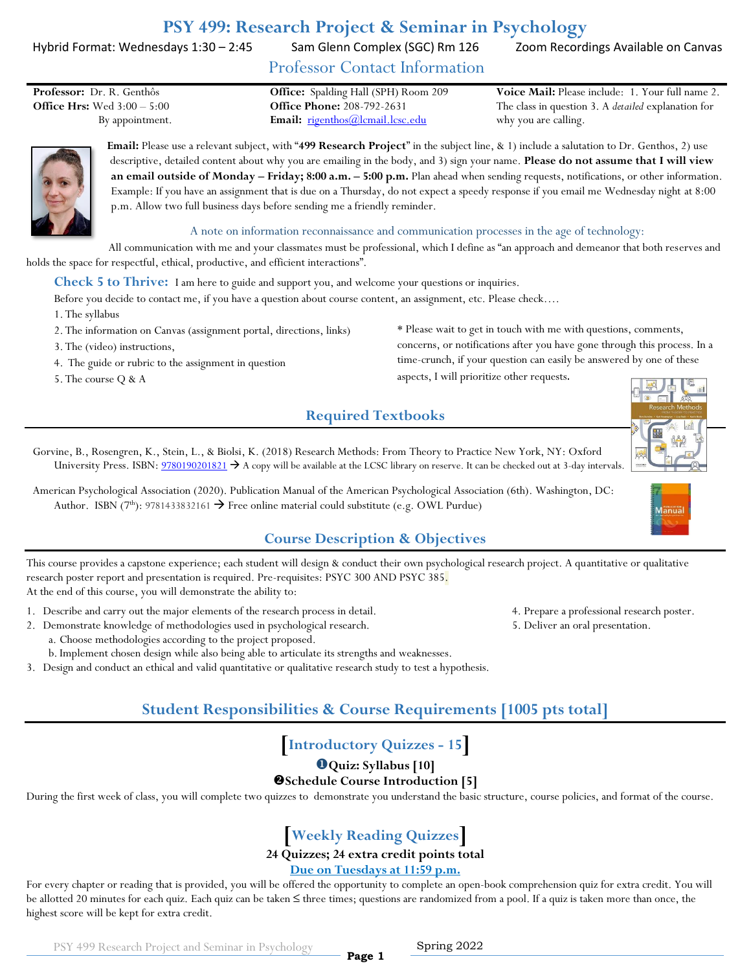# **PSY 499: Research Project & Seminar in Psychology**

Hybrid Format: Wednesdays 1:30 - 2:45 Sam Glenn Complex (SGC) Rm 126 Zoom Recordings Available on Canvas

Professor Contact Information

**Office Hrs:** Wed 3:00 – 5:00 **Office Phone:** 208-792-2631

By appointment. **Email:**  $\frac{1}{2}$  **Email:**  $\frac{1}{2}$  **rigenthos**  $\frac{1}{2}$  **contrares contrares contrares and <b>Figure Email:**  $\frac{1}{2}$  **contrares contrares contrares** 

**Professor:** Dr. R. Genthôs **Office:** Spalding Hall (SPH) Room 209 **Voice Mail:** Please include: 1. Your full name 2. The class in question 3. A *detailed* explanation for why you are calling.

> **Email:** Please use a relevant subject, with "**499 Research Project**" in the subject line, & 1) include a salutation to Dr. Genthos, 2) use descriptive, detailed content about why you are emailing in the body, and 3) sign your name. **Please do not assume that I will view an email outside of Monday – Friday; 8:00 a.m. – 5:00 p.m.** Plan ahead when sending requests, notifications, or other information. Example: If you have an assignment that is due on a Thursday, do not expect a speedy response if you email me Wednesday night at 8:00 p.m. Allow two full business days before sending me a friendly reminder.

#### A note on information reconnaissance and communication processes in the age of technology:

All communication with me and your classmates must be professional, which I define as "an approach and demeanor that both reserves and holds the space for respectful, ethical, productive, and efficient interactions".

**Check 5 to Thrive:** I am here to guide and support you, and welcome your questions or inquiries.

Before you decide to contact me, if you have a question about course content, an assignment, etc. Please check….

1. The syllabus

2. The information on Canvas (assignment portal, directions, links)

3. The (video) instructions,

4. The guide or rubric to the assignment in question

5. The course Q & A

\* Please wait to get in touch with me with questions, comments, concerns, or notifications after you have gone through this process. In a time-crunch, if your question can easily be answered by one of these

aspects, I will prioritize other requests.

# **Required Textbooks**



American Psychological Association (2020). Publication Manual of the American Psychological Association (6th). Washington, DC: Author. ISBN (7<sup>th</sup>): 9781433832161  $\rightarrow$  Free online material could substitute (e.g. OWL Purdue)

### **Course Description & Objectives**

This course provides a capstone experience; each student will design & conduct their own psychological research project. A quantitative or qualitative research poster report and presentation is required. Pre-requisites: PSYC 300 AND PSYC 385. At the end of this course, you will demonstrate the ability to:

- 1. Describe and carry out the major elements of the research process in detail. 4. Prepare a professional research poster.
- 2. Demonstrate knowledge of methodologies used in psychological research. 5. Deliver an oral presentation. a. Choose methodologies according to the project proposed. b. Implement chosen design while also being able to articulate its strengths and weaknesses.
- 3. Design and conduct an ethical and valid quantitative or qualitative research study to test a hypothesis.

# **Student Responsibilities & Course Requirements [1005 pts total]**

**[Introductory Quizzes - 15]**

**Quiz: Syllabus [10]**

#### **Schedule Course Introduction [5]**

During the first week of class, you will complete two quizzes to demonstrate you understand the basic structure, course policies, and format of the course.

# **[Weekly Reading Quizzes]**

#### **24 Quizzes; 24 extra credit points total**

#### **Due on Tuesdays at 11:59 p.m.**

For every chapter or reading that is provided, you will be offered the opportunity to complete an open-book comprehension quiz for extra credit. You will be allotted 20 minutes for each quiz. Each quiz can be taken ≤ three times; questions are randomized from a pool. If a quiz is taken more than once, the highest score will be kept for extra credit.

**Page 1**

PSY 499 Research Project and Seminar in Psychology

#### Spring 2022









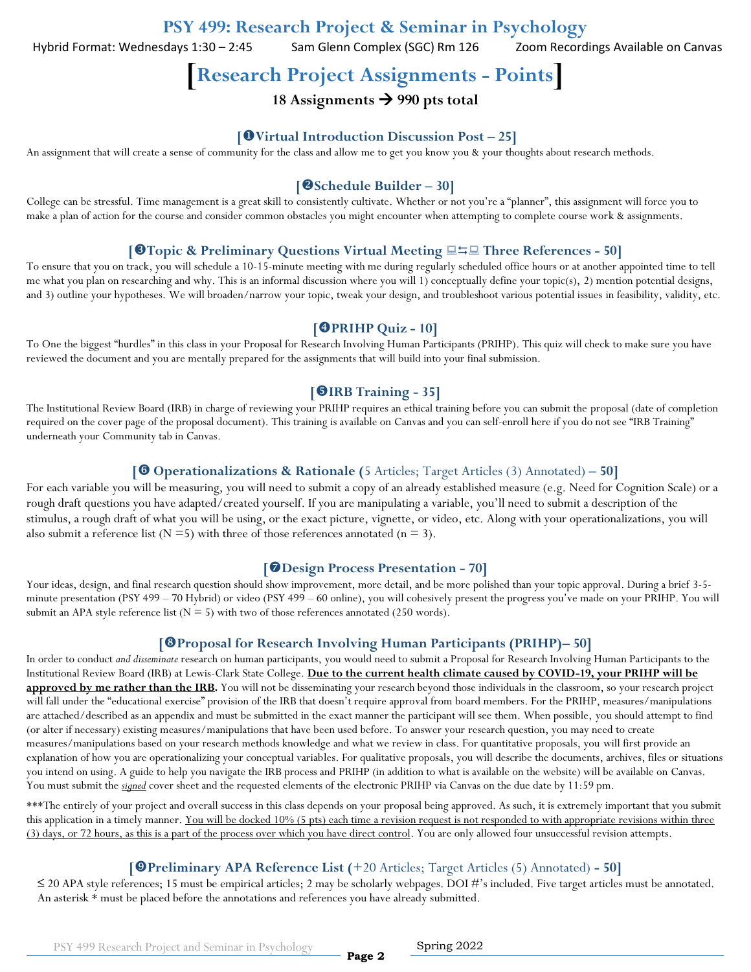Hybrid Format: Wednesdays 1:30 - 2:45 Sam Glenn Complex (SGC) Rm 126 Zoom Recordings Available on Canvas

**[Research Project Assignments - Points]**

# **18 Assignments 990 pts total**

#### **[Virtual Introduction Discussion Post – 25]**

An assignment that will create a sense of community for the class and allow me to get you know you & your thoughts about research methods.

#### **[Schedule Builder – 30]**

College can be stressful. Time management is a great skill to consistently cultivate. Whether or not you're a "planner", this assignment will force you to make a plan of action for the course and consider common obstacles you might encounter when attempting to complete course work & assignments.

#### **[Topic & Preliminary Questions Virtual Meeting Three References - 50]**

To ensure that you on track, you will schedule a 10-15-minute meeting with me during regularly scheduled office hours or at another appointed time to tell me what you plan on researching and why. This is an informal discussion where you will 1) conceptually define your topic(s), 2) mention potential designs, and 3) outline your hypotheses. We will broaden/narrow your topic, tweak your design, and troubleshoot various potential issues in feasibility, validity, etc.

#### **[PRIHP Quiz - 10]**

To One the biggest "hurdles" in this class in your Proposal for Research Involving Human Participants (PRIHP). This quiz will check to make sure you have reviewed the document and you are mentally prepared for the assignments that will build into your final submission.

#### **[IRB Training - 35]**

The Institutional Review Board (IRB) in charge of reviewing your PRIHP requires an ethical training before you can submit the proposal (date of completion required on the cover page of the proposal document). This training is available on Canvas and you can self-enroll here if you do not see "IRB Training" underneath your Community tab in Canvas.

#### **[ Operationalizations & Rationale (**5 Articles; Target Articles (3) Annotated) **– 50]**

For each variable you will be measuring, you will need to submit a copy of an already established measure (e.g. Need for Cognition Scale) or a rough draft questions you have adapted/created yourself. If you are manipulating a variable, you'll need to submit a description of the stimulus, a rough draft of what you will be using, or the exact picture, vignette, or video, etc. Along with your operationalizations, you will also submit a reference list ( $N = 5$ ) with three of those references annotated ( $n = 3$ ).

#### **[Design Process Presentation - 70]**

Your ideas, design, and final research question should show improvement, more detail, and be more polished than your topic approval. During a brief 3-5minute presentation (PSY 499 – 70 Hybrid) or video (PSY 499 – 60 online), you will cohesively present the progress you've made on your PRIHP. You will submit an APA style reference list ( $N = 5$ ) with two of those references annotated (250 words).

#### **[Proposal for Research Involving Human Participants (PRIHP)– 50]**

In order to conduct *and disseminate* research on human participants, you would need to submit a Proposal for Research Involving Human Participants to the Institutional Review Board (IRB) at Lewis-Clark State College. **Due to the current health climate caused by COVID-19, your PRIHP will be approved by me rather than the IRB.** You will not be disseminating your research beyond those individuals in the classroom, so your research project will fall under the "educational exercise" provision of the IRB that doesn't require approval from board members. For the PRIHP, measures/manipulations are attached/described as an appendix and must be submitted in the exact manner the participant will see them. When possible, you should attempt to find (or alter if necessary) existing measures/manipulations that have been used before. To answer your research question, you may need to create measures/manipulations based on your research methods knowledge and what we review in class. For quantitative proposals, you will first provide an explanation of how you are operationalizing your conceptual variables. For qualitative proposals, you will describe the documents, archives, files or situations you intend on using. A guide to help you navigate the IRB process and PRIHP (in addition to what is available on the website) will be available on Canvas. You must submit the *signed* cover sheet and the requested elements of the electronic PRIHP via Canvas on the due date by 11:59 pm.

\*\*\*The entirely of your project and overall success in this class depends on your proposal being approved. As such, it is extremely important that you submit this application in a timely manner. You will be docked 10% (5 pts) each time a revision request is not responded to with appropriate revisions within three (3) days, or 72 hours, as this is a part of the process over which you have direct control. You are only allowed four unsuccessful revision attempts.

#### **[Preliminary APA Reference List (**+20 Articles; Target Articles (5) Annotated) **- 50]**

 $\leq$  20 APA style references; 15 must be empirical articles; 2 may be scholarly webpages. DOI #'s included. Five target articles must be annotated. An asterisk \* must be placed before the annotations and references you have already submitted.

**Page 2**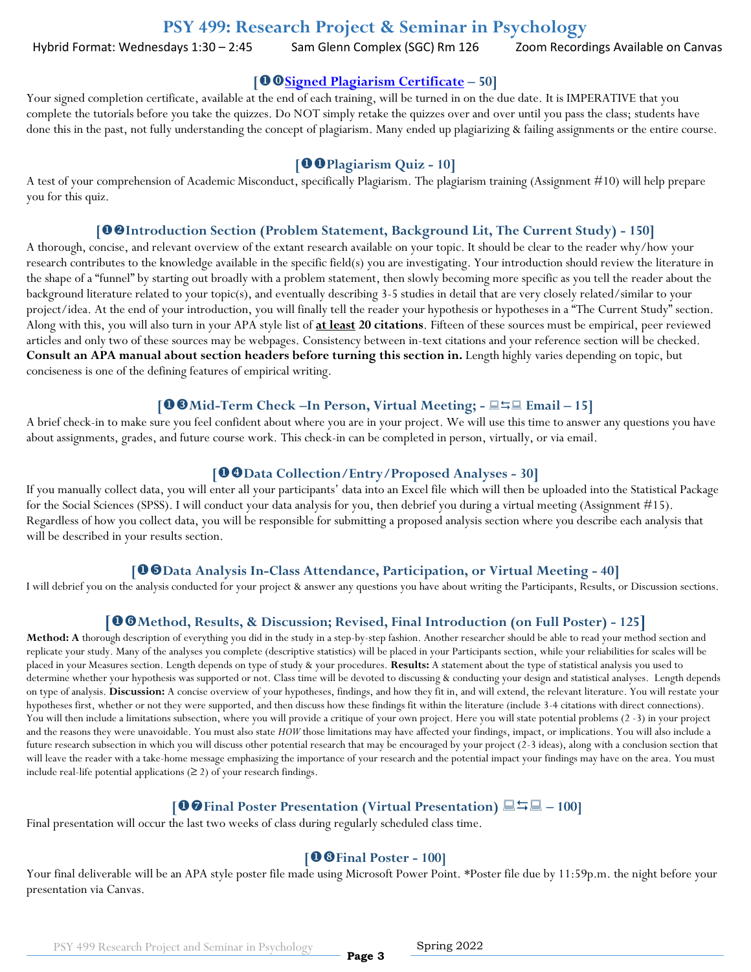# **PSY 499: Research Project & Seminar in Psychology**

Hybrid Format: Wednesdays 1:30 - 2:45 Sam Glenn Complex (SGC) Rm 126 Zoom Recordings Available on Canvas

#### **[[Signed Plagiarism Certificate](https://www.indiana.edu/~istd/) – 50]**

Your signed completion certificate, available at the end of each training, will be turned in on the due date. It is IMPERATIVE that you complete the tutorials before you take the quizzes. Do NOT simply retake the quizzes over and over until you pass the class; students have done this in the past, not fully understanding the concept of plagiarism. Many ended up plagiarizing & failing assignments or the entire course.

#### **[Plagiarism Quiz - 10]**

A test of your comprehension of Academic Misconduct, specifically Plagiarism. The plagiarism training (Assignment #10) will help prepare you for this quiz.

#### **[Introduction Section (Problem Statement, Background Lit, The Current Study) - 150]**

A thorough, concise, and relevant overview of the extant research available on your topic. It should be clear to the reader why/how your research contributes to the knowledge available in the specific field(s) you are investigating. Your introduction should review the literature in the shape of a "funnel" by starting out broadly with a problem statement, then slowly becoming more specific as you tell the reader about the background literature related to your topic(s), and eventually describing 3-5 studies in detail that are very closely related/similar to your project/idea. At the end of your introduction, you will finally tell the reader your hypothesis or hypotheses in a "The Current Study" section. Along with this, you will also turn in your APA style list of **at least 20 citations**. Fifteen of these sources must be empirical, peer reviewed articles and only two of these sources may be webpages. Consistency between in-text citations and your reference section will be checked. **Consult an APA manual about section headers before turning this section in.** Length highly varies depending on topic, but conciseness is one of the defining features of empirical writing.

#### **[Mid-Term Check –In Person, Virtual Meeting; - Email – 15]**

A brief check-in to make sure you feel confident about where you are in your project. We will use this time to answer any questions you have about assignments, grades, and future course work. This check-in can be completed in person, virtually, or via email.

#### **[Data Collection/Entry/Proposed Analyses - 30]**

If you manually collect data, you will enter all your participants' data into an Excel file which will then be uploaded into the Statistical Package for the Social Sciences (SPSS). I will conduct your data analysis for you, then debrief you during a virtual meeting (Assignment #15). Regardless of how you collect data, you will be responsible for submitting a proposed analysis section where you describe each analysis that will be described in your results section.

#### **[Data Analysis In-Class Attendance, Participation, or Virtual Meeting - 40]**

I will debrief you on the analysis conducted for your project & answer any questions you have about writing the Participants, Results, or Discussion sections.

#### **[Method, Results, & Discussion; Revised, Final Introduction (on Full Poster) - 125]**

**Method: A** thorough description of everything you did in the study in a step-by-step fashion. Another researcher should be able to read your method section and replicate your study. Many of the analyses you complete (descriptive statistics) will be placed in your Participants section, while your reliabilities for scales will be placed in your Measures section. Length depends on type of study & your procedures. **Results:** A statement about the type of statistical analysis you used to determine whether your hypothesis was supported or not. Class time will be devoted to discussing & conducting your design and statistical analyses. Length depends on type of analysis. **Discussion:** A concise overview of your hypotheses, findings, and how they fit in, and will extend, the relevant literature. You will restate your hypotheses first, whether or not they were supported, and then discuss how these findings fit within the literature (include 3-4 citations with direct connections). You will then include a limitations subsection, where you will provide a critique of your own project. Here you will state potential problems (2 -3) in your project and the reasons they were unavoidable. You must also state *HOW* those limitations may have affected your findings, impact, or implications. You will also include a future research subsection in which you will discuss other potential research that may be encouraged by your project (2-3 ideas), along with a conclusion section that will leave the reader with a take-home message emphasizing the importance of your research and the potential impact your findings may have on the area. You must include real-life potential applications  $(≥ 2)$  of your research findings.

#### **[Final Poster Presentation (Virtual Presentation) – 100]**

Final presentation will occur the last two weeks of class during regularly scheduled class time.

#### **[Final Poster - 100]**

Your final deliverable will be an APA style poster file made using Microsoft Power Point. \*Poster file due by 11:59p.m. the night before your presentation via Canvas.

**Page 3**

PSY 499 Research Project and Seminar in Psychology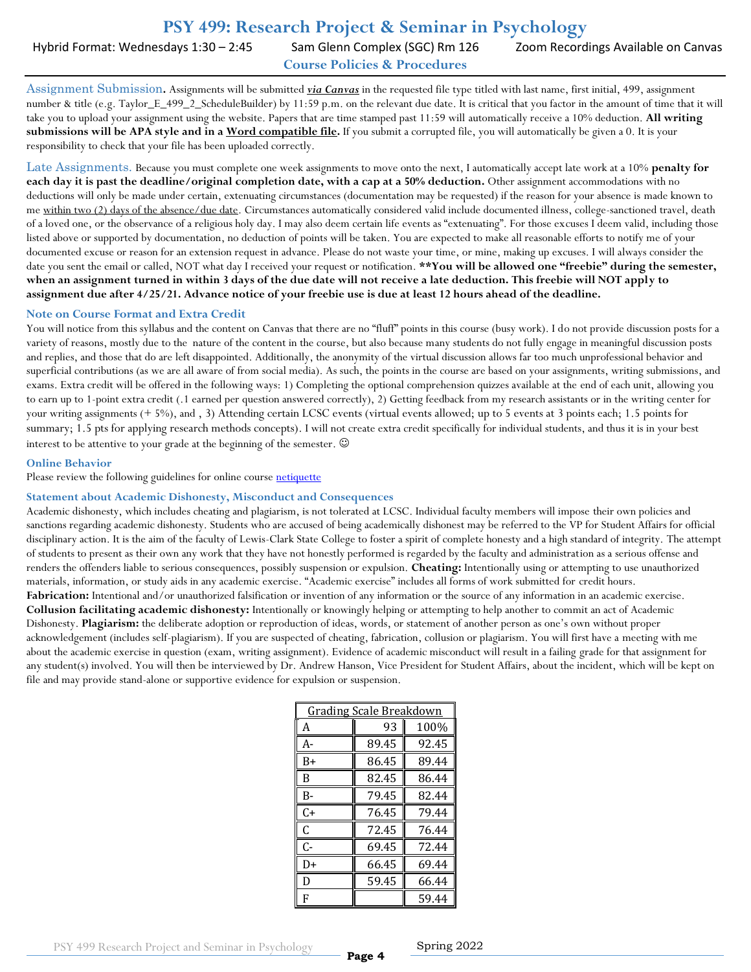## **PSY 499: Research Project & Seminar in Psychology**

Hybrid Format: Wednesdays 1:30 - 2:45 Sam Glenn Complex (SGC) Rm 126 Zoom Recordings Available on Canvas

**Course Policies & Procedures**

Assignment Submission**.** Assignments will be submitted *via Canvas* in the requested file type titled with last name, first initial, 499, assignment number & title (e.g. Taylor\_E\_499\_2\_ScheduleBuilder) by 11:59 p.m. on the relevant due date. It is critical that you factor in the amount of time that it will take you to upload your assignment using the website. Papers that are time stamped past 11:59 will automatically receive a 10% deduction. **All writing submissions will be APA style and in a Word compatible file.** If you submit a corrupted file, you will automatically be given a 0. It is your responsibility to check that your file has been uploaded correctly.

Late Assignments. Because you must complete one week assignments to move onto the next, I automatically accept late work at a 10% **penalty for each day it is past the deadline/original completion date, with a cap at a 50% deduction.** Other assignment accommodations with no deductions will only be made under certain, extenuating circumstances (documentation may be requested) if the reason for your absence is made known to me within two (2) days of the absence/due date. Circumstances automatically considered valid include documented illness, college-sanctioned travel, death of a loved one, or the observance of a religious holy day. I may also deem certain life events as "extenuating". For those excuses I deem valid, including those listed above or supported by documentation, no deduction of points will be taken. You are expected to make all reasonable efforts to notify me of your documented excuse or reason for an extension request in advance. Please do not waste your time, or mine, making up excuses. I will always consider the date you sent the email or called, NOT what day I received your request or notification. **\*\*You will be allowed one "freebie" during the semester, when an assignment turned in within 3 days of the due date will not receive a late deduction. This freebie will NOT apply to assignment due after 4/25/21. Advance notice of your freebie use is due at least 12 hours ahead of the deadline.**

#### **Note on Course Format and Extra Credit**

You will notice from this syllabus and the content on Canvas that there are no "fluff" points in this course (busy work). I do not provide discussion posts for a variety of reasons, mostly due to the nature of the content in the course, but also because many students do not fully engage in meaningful discussion posts and replies, and those that do are left disappointed. Additionally, the anonymity of the virtual discussion allows far too much unprofessional behavior and superficial contributions (as we are all aware of from social media). As such, the points in the course are based on your assignments, writing submissions, and exams. Extra credit will be offered in the following ways: 1) Completing the optional comprehension quizzes available at the end of each unit, allowing you to earn up to 1-point extra credit (.1 earned per question answered correctly), 2) Getting feedback from my research assistants or in the writing center for your writing assignments (+ 5%), and , 3) Attending certain LCSC events (virtual events allowed; up to 5 events at 3 points each; 1.5 points for summary; 1.5 pts for applying research methods concepts). I will not create extra credit specifically for individual students, and thus it is in your best interest to be attentive to your grade at the beginning of the semester.

#### **Online Behavior**

Please review the following guidelines for online course [netiquette](netiquette:%20http://teach.ufl.edu/wp-content/uploads/2012/08/NetiquetteGuideforOnlineCourses.pdf)

#### **Statement about Academic Dishonesty, Misconduct and Consequences**

Academic dishonesty, which includes cheating and plagiarism, is not tolerated at LCSC. Individual faculty members will impose their own policies and sanctions regarding academic dishonesty. Students who are accused of being academically dishonest may be referred to the VP for Student Affairs for official disciplinary action. It is the aim of the faculty of Lewis-Clark State College to foster a spirit of complete honesty and a high standard of integrity. The attempt of students to present as their own any work that they have not honestly performed is regarded by the faculty and administration as a serious offense and renders the offenders liable to serious consequences, possibly suspension or expulsion. **Cheating:** Intentionally using or attempting to use unauthorized materials, information, or study aids in any academic exercise. "Academic exercise" includes all forms of work submitted for credit hours. Fabrication: Intentional and/or unauthorized falsification or invention of any information or the source of any information in an academic exercise. **Collusion facilitating academic dishonesty:** Intentionally or knowingly helping or attempting to help another to commit an act of Academic Dishonesty. **Plagiarism:** the deliberate adoption or reproduction of ideas, words, or statement of another person as one's own without proper acknowledgement (includes self-plagiarism). If you are suspected of cheating, fabrication, collusion or plagiarism. You will first have a meeting with me about the academic exercise in question (exam, writing assignment). Evidence of academic misconduct will result in a failing grade for that assignment for any student(s) involved. You will then be interviewed by Dr. Andrew Hanson, Vice President for Student Affairs, about the incident, which will be kept on file and may provide stand-alone or supportive evidence for expulsion or suspension.

| Grading Scale Breakdown |       |       |  |  |  |  |  |  |
|-------------------------|-------|-------|--|--|--|--|--|--|
| A                       | 93    | 100%  |  |  |  |  |  |  |
| А-                      | 89.45 | 92.45 |  |  |  |  |  |  |
| B+                      | 86.45 | 89.44 |  |  |  |  |  |  |
| B                       | 82.45 | 86.44 |  |  |  |  |  |  |
| В-                      | 79.45 | 82.44 |  |  |  |  |  |  |
| C+                      | 76.45 | 79.44 |  |  |  |  |  |  |
| C                       | 72.45 | 76.44 |  |  |  |  |  |  |
| C-                      | 69.45 | 72.44 |  |  |  |  |  |  |
| D+                      | 66.45 | 69.44 |  |  |  |  |  |  |
| D                       | 59.45 | 66.44 |  |  |  |  |  |  |
| F                       |       | 59.44 |  |  |  |  |  |  |

**Page 4**